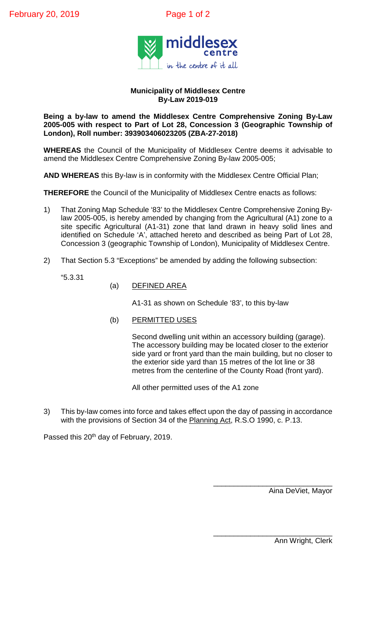

## **Municipality of Middlesex Centre By-Law 2019-019**

**Being a by-law to amend the Middlesex Centre Comprehensive Zoning By-Law 2005-005 with respect to Part of Lot 28, Concession 3 (Geographic Township of London), Roll number: 393903406023205 (ZBA-27-2018)**

**WHEREAS** the Council of the Municipality of Middlesex Centre deems it advisable to amend the Middlesex Centre Comprehensive Zoning By-law 2005-005;

**AND WHEREAS** this By-law is in conformity with the Middlesex Centre Official Plan;

**THEREFORE** the Council of the Municipality of Middlesex Centre enacts as follows:

- 1) That Zoning Map Schedule '83' to the Middlesex Centre Comprehensive Zoning Bylaw 2005-005, is hereby amended by changing from the Agricultural (A1) zone to a site specific Agricultural (A1-31) zone that land drawn in heavy solid lines and identified on Schedule 'A', attached hereto and described as being Part of Lot 28, Concession 3 (geographic Township of London), Municipality of Middlesex Centre.
- 2) That Section 5.3 "Exceptions" be amended by adding the following subsection:

"5.3.31

(a) DEFINED AREA

A1-31 as shown on Schedule '83', to this by-law

(b) PERMITTED USES

Second dwelling unit within an accessory building (garage). The accessory building may be located closer to the exterior side yard or front yard than the main building, but no closer to the exterior side yard than 15 metres of the lot line or 38 metres from the centerline of the County Road (front yard).

All other permitted uses of the A1 zone

3) This by-law comes into force and takes effect upon the day of passing in accordance with the provisions of Section 34 of the Planning Act, R.S.O 1990, c. P.13.

Passed this 20<sup>th</sup> day of February, 2019.

\_\_\_\_\_\_\_\_\_\_\_\_\_\_\_\_\_\_\_\_\_\_\_\_\_\_\_\_\_ Aina DeViet, Mayor

\_\_\_\_\_\_\_\_\_\_\_\_\_\_\_\_\_\_\_\_\_\_\_\_\_\_\_\_\_ Ann Wright, Clerk